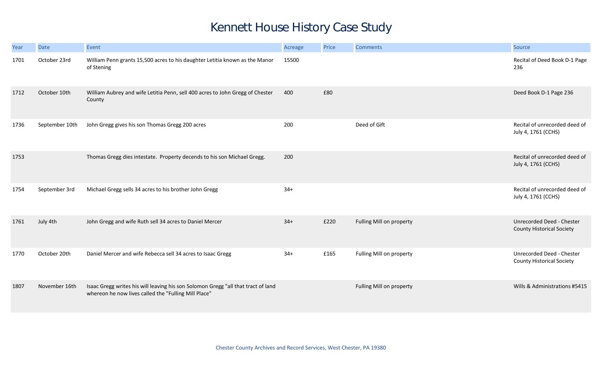## Kennett House History Case Study

| Year | <b>Date</b>    | Event                                                                                                                                     | Acreage | Price | <b>Comments</b>          | Source                                                        |
|------|----------------|-------------------------------------------------------------------------------------------------------------------------------------------|---------|-------|--------------------------|---------------------------------------------------------------|
| 1701 | October 23rd   | William Penn grants 15,500 acres to his daughter Letitia known as the Manor<br>of Stening                                                 | 15500   |       |                          | Recital of Deed Book D-1 Page<br>236                          |
| 1712 | October 10th   | William Aubrey and wife Letitia Penn, sell 400 acres to John Gregg of Chester<br>County                                                   | 400     | £80   |                          | Deed Book D-1 Page 236                                        |
| 1736 | September 10th | John Gregg gives his son Thomas Gregg 200 acres                                                                                           | 200     |       | Deed of Gift             | Recital of unrecorded deed of<br>July 4, 1761 (CCHS)          |
| 1753 |                | Thomas Gregg dies intestate. Property decends to his son Michael Gregg.                                                                   | 200     |       |                          | Recital of unrecorded deed of<br>July 4, 1761 (CCHS)          |
| 1754 | September 3rd  | Michael Gregg sells 34 acres to his brother John Gregg                                                                                    | $34+$   |       |                          | Recital of unrecorded deed of<br>July 4, 1761 (CCHS)          |
| 1761 | July 4th       | John Gregg and wife Ruth sell 34 acres to Daniel Mercer                                                                                   | $34+$   | £220  | Fulling Mill on property | Unrecorded Deed - Chester<br><b>County Historical Society</b> |
| 1770 | October 20th   | Daniel Mercer and wife Rebecca sell 34 acres to Isaac Gregg                                                                               | $34+$   | £165  | Fulling Mill on property | Unrecorded Deed - Chester<br><b>County Historical Society</b> |
| 1807 | November 16th  | Isaac Gregg writes his will leaving his son Solomon Gregg "all that tract of land<br>whereon he now lives called the "Fulling Mill Place" |         |       | Fulling Mill on property | Wills & Administrations #5415                                 |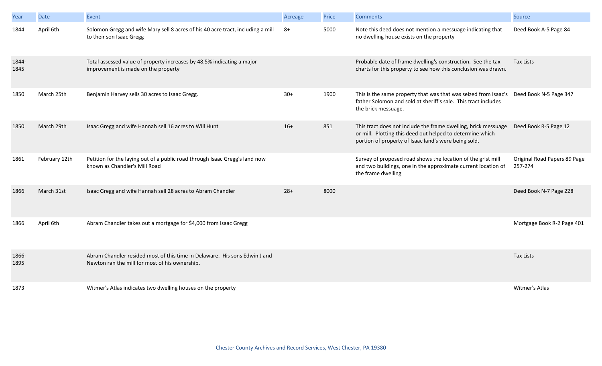| Year          | <b>Date</b>   | Event                                                                                                                        | Acreage | Price | <b>Comments</b>                                                                                                                                                                     | Source                                  |
|---------------|---------------|------------------------------------------------------------------------------------------------------------------------------|---------|-------|-------------------------------------------------------------------------------------------------------------------------------------------------------------------------------------|-----------------------------------------|
| 1844          | April 6th     | Solomon Gregg and wife Mary sell 8 acres of his 40 acre tract, including a mill<br>to their son Isaac Gregg                  | $8+$    | 5000  | Note this deed does not mention a messuage indicating that<br>no dwelling house exists on the property                                                                              | Deed Book A-5 Page 84                   |
| 1844-<br>1845 |               | Total assessed value of property increases by 48.5% indicating a major<br>improvement is made on the property                |         |       | Probable date of frame dwelling's construction. See the tax<br>charts for this property to see how this conclusion was drawn.                                                       | <b>Tax Lists</b>                        |
| 1850          | March 25th    | Benjamin Harvey sells 30 acres to Isaac Gregg.                                                                               | $30+$   | 1900  | This is the same property that was that was seized from Isaac's<br>father Solomon and sold at sheriff's sale. This tract includes<br>the brick messuage.                            | Deed Book N-5 Page 347                  |
| 1850          | March 29th    | Isaac Gregg and wife Hannah sell 16 acres to Will Hunt                                                                       | $16+$   | 851   | This tract does not include the frame dwelling, brick messuage<br>or mill. Plotting this deed out helped to determine which<br>portion of property of Isaac land's were being sold. | Deed Book R-5 Page 12                   |
| 1861          | February 12th | Petition for the laying out of a public road through Isaac Gregg's land now<br>known as Chandler's Mill Road                 |         |       | Survey of proposed road shows the location of the grist mill<br>and two buildings, one in the approximate current location of<br>the frame dwelling                                 | Original Road Papers 89 Page<br>257-274 |
| 1866          | March 31st    | Isaac Gregg and wife Hannah sell 28 acres to Abram Chandler                                                                  | $28+$   | 8000  |                                                                                                                                                                                     | Deed Book N-7 Page 228                  |
| 1866          | April 6th     | Abram Chandler takes out a mortgage for \$4,000 from Isaac Gregg                                                             |         |       |                                                                                                                                                                                     | Mortgage Book R-2 Page 401              |
| 1866-<br>1895 |               | Abram Chandler resided most of this time in Delaware. His sons Edwin J and<br>Newton ran the mill for most of his ownership. |         |       |                                                                                                                                                                                     | <b>Tax Lists</b>                        |
| 1873          |               | Witmer's Atlas indicates two dwelling houses on the property                                                                 |         |       |                                                                                                                                                                                     | Witmer's Atlas                          |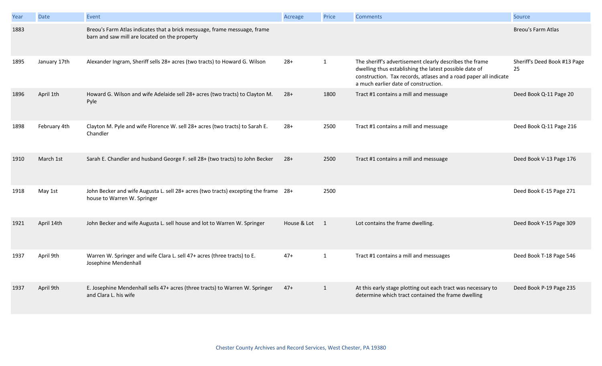| Year | <b>Date</b>  | Event                                                                                                                      | Acreage       | Price        | <b>Comments</b>                                                                                                                                                                                                               | Source                             |
|------|--------------|----------------------------------------------------------------------------------------------------------------------------|---------------|--------------|-------------------------------------------------------------------------------------------------------------------------------------------------------------------------------------------------------------------------------|------------------------------------|
| 1883 |              | Breou's Farm Atlas indicates that a brick messuage, frame messuage, frame<br>barn and saw mill are located on the property |               |              |                                                                                                                                                                                                                               | <b>Breou's Farm Atlas</b>          |
| 1895 | January 17th | Alexander Ingram, Sheriff sells 28+ acres (two tracts) to Howard G. Wilson                                                 | $28+$         | $\mathbf{1}$ | The sheriff's advertisement clearly describes the frame<br>dwelling thus establishing the latest possible date of<br>construction. Tax records, atlases and a road paper all indicate<br>a much earlier date of construction. | Sheriff's Deed Book #13 Page<br>25 |
| 1896 | April 1th    | Howard G. Wilson and wife Adelaide sell 28+ acres (two tracts) to Clayton M.<br>Pyle                                       | $28+$         | 1800         | Tract #1 contains a mill and messuage                                                                                                                                                                                         | Deed Book Q-11 Page 20             |
| 1898 | February 4th | Clayton M. Pyle and wife Florence W. sell 28+ acres (two tracts) to Sarah E.<br>Chandler                                   | $28+$         | 2500         | Tract #1 contains a mill and messuage                                                                                                                                                                                         | Deed Book Q-11 Page 216            |
| 1910 | March 1st    | Sarah E. Chandler and husband George F. sell 28+ (two tracts) to John Becker                                               | $28+$         | 2500         | Tract #1 contains a mill and messuage                                                                                                                                                                                         | Deed Book V-13 Page 176            |
| 1918 | May 1st      | John Becker and wife Augusta L. sell 28+ acres (two tracts) excepting the frame 28+<br>house to Warren W. Springer         |               | 2500         |                                                                                                                                                                                                                               | Deed Book E-15 Page 271            |
| 1921 | April 14th   | John Becker and wife Augusta L. sell house and lot to Warren W. Springer                                                   | House & Lot 1 |              | Lot contains the frame dwelling.                                                                                                                                                                                              | Deed Book Y-15 Page 309            |
| 1937 | April 9th    | Warren W. Springer and wife Clara L. sell 47+ acres (three tracts) to E.<br>Josephine Mendenhall                           | $47+$         | $\mathbf{1}$ | Tract #1 contains a mill and messuages                                                                                                                                                                                        | Deed Book T-18 Page 546            |
| 1937 | April 9th    | E. Josephine Mendenhall sells 47+ acres (three tracts) to Warren W. Springer<br>and Clara L. his wife                      | $47+$         | $\mathbf{1}$ | At this early stage plotting out each tract was necessary to<br>determine which tract contained the frame dwelling                                                                                                            | Deed Book P-19 Page 235            |